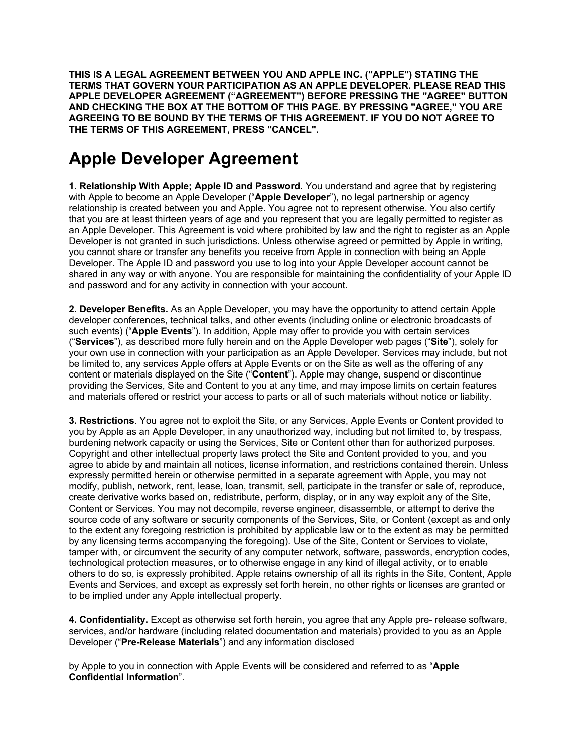**THIS IS A LEGAL AGREEMENT BETWEEN YOU AND APPLE INC. ("APPLE") STATING THE TERMS THAT GOVERN YOUR PARTICIPATION AS AN APPLE DEVELOPER. PLEASE READ THIS APPLE DEVELOPER AGREEMENT ("AGREEMENT") BEFORE PRESSING THE "AGREE" BUTTON AND CHECKING THE BOX AT THE BOTTOM OF THIS PAGE. BY PRESSING "AGREE," YOU ARE AGREEING TO BE BOUND BY THE TERMS OF THIS AGREEMENT. IF YOU DO NOT AGREE TO THE TERMS OF THIS AGREEMENT, PRESS "CANCEL".** 

## **Apple Developer Agreement**

**1. Relationship With Apple; Apple ID and Password.** You understand and agree that by registering with Apple to become an Apple Developer ("**Apple Developer**"), no legal partnership or agency relationship is created between you and Apple. You agree not to represent otherwise. You also certify that you are at least thirteen years of age and you represent that you are legally permitted to register as an Apple Developer. This Agreement is void where prohibited by law and the right to register as an Apple Developer is not granted in such jurisdictions. Unless otherwise agreed or permitted by Apple in writing, you cannot share or transfer any benefits you receive from Apple in connection with being an Apple Developer. The Apple ID and password you use to log into your Apple Developer account cannot be shared in any way or with anyone. You are responsible for maintaining the confidentiality of your Apple ID and password and for any activity in connection with your account.

**2. Developer Benefits.** As an Apple Developer, you may have the opportunity to attend certain Apple developer conferences, technical talks, and other events (including online or electronic broadcasts of such events) ("**Apple Events**"). In addition, Apple may offer to provide you with certain services ("**Services**"), as described more fully herein and on the Apple Developer web pages ("**Site**"), solely for your own use in connection with your participation as an Apple Developer. Services may include, but not be limited to, any services Apple offers at Apple Events or on the Site as well as the offering of any content or materials displayed on the Site ("**Content**"). Apple may change, suspend or discontinue providing the Services, Site and Content to you at any time, and may impose limits on certain features and materials offered or restrict your access to parts or all of such materials without notice or liability.

**3. Restrictions**. You agree not to exploit the Site, or any Services, Apple Events or Content provided to you by Apple as an Apple Developer, in any unauthorized way, including but not limited to, by trespass, burdening network capacity or using the Services, Site or Content other than for authorized purposes. Copyright and other intellectual property laws protect the Site and Content provided to you, and you agree to abide by and maintain all notices, license information, and restrictions contained therein. Unless expressly permitted herein or otherwise permitted in a separate agreement with Apple, you may not modify, publish, network, rent, lease, loan, transmit, sell, participate in the transfer or sale of, reproduce, create derivative works based on, redistribute, perform, display, or in any way exploit any of the Site, Content or Services. You may not decompile, reverse engineer, disassemble, or attempt to derive the source code of any software or security components of the Services, Site, or Content (except as and only to the extent any foregoing restriction is prohibited by applicable law or to the extent as may be permitted by any licensing terms accompanying the foregoing). Use of the Site, Content or Services to violate, tamper with, or circumvent the security of any computer network, software, passwords, encryption codes, technological protection measures, or to otherwise engage in any kind of illegal activity, or to enable others to do so, is expressly prohibited. Apple retains ownership of all its rights in the Site, Content, Apple Events and Services, and except as expressly set forth herein, no other rights or licenses are granted or to be implied under any Apple intellectual property.

**4. Confidentiality.** Except as otherwise set forth herein, you agree that any Apple pre- release software, services, and/or hardware (including related documentation and materials) provided to you as an Apple Developer ("**Pre-Release Materials**") and any information disclosed

by Apple to you in connection with Apple Events will be considered and referred to as "**Apple Confidential Information**".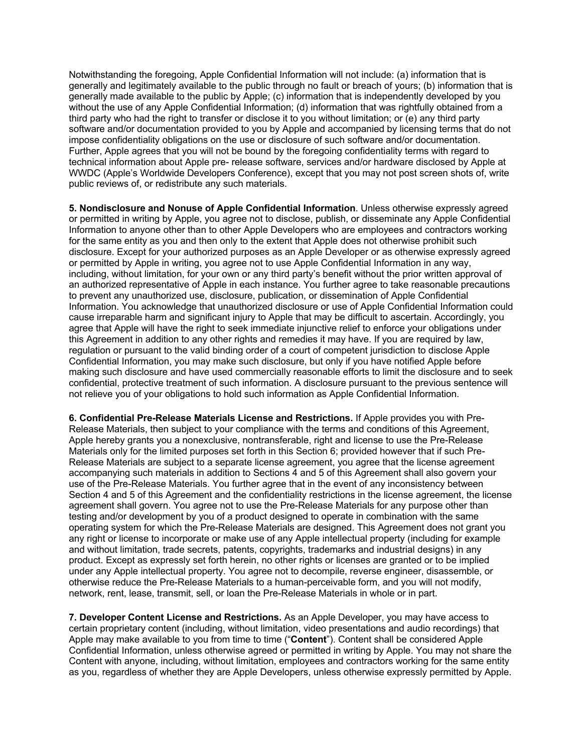Notwithstanding the foregoing, Apple Confidential Information will not include: (a) information that is generally and legitimately available to the public through no fault or breach of yours; (b) information that is generally made available to the public by Apple; (c) information that is independently developed by you without the use of any Apple Confidential Information; (d) information that was rightfully obtained from a third party who had the right to transfer or disclose it to you without limitation; or (e) any third party software and/or documentation provided to you by Apple and accompanied by licensing terms that do not impose confidentiality obligations on the use or disclosure of such software and/or documentation. Further, Apple agrees that you will not be bound by the foregoing confidentiality terms with regard to technical information about Apple pre- release software, services and/or hardware disclosed by Apple at WWDC (Apple's Worldwide Developers Conference), except that you may not post screen shots of, write public reviews of, or redistribute any such materials.

**5. Nondisclosure and Nonuse of Apple Confidential Information**. Unless otherwise expressly agreed or permitted in writing by Apple, you agree not to disclose, publish, or disseminate any Apple Confidential Information to anyone other than to other Apple Developers who are employees and contractors working for the same entity as you and then only to the extent that Apple does not otherwise prohibit such disclosure. Except for your authorized purposes as an Apple Developer or as otherwise expressly agreed or permitted by Apple in writing, you agree not to use Apple Confidential Information in any way, including, without limitation, for your own or any third party's benefit without the prior written approval of an authorized representative of Apple in each instance. You further agree to take reasonable precautions to prevent any unauthorized use, disclosure, publication, or dissemination of Apple Confidential Information. You acknowledge that unauthorized disclosure or use of Apple Confidential Information could cause irreparable harm and significant injury to Apple that may be difficult to ascertain. Accordingly, you agree that Apple will have the right to seek immediate injunctive relief to enforce your obligations under this Agreement in addition to any other rights and remedies it may have. If you are required by law, regulation or pursuant to the valid binding order of a court of competent jurisdiction to disclose Apple Confidential Information, you may make such disclosure, but only if you have notified Apple before making such disclosure and have used commercially reasonable efforts to limit the disclosure and to seek confidential, protective treatment of such information. A disclosure pursuant to the previous sentence will not relieve you of your obligations to hold such information as Apple Confidential Information.

**6. Confidential Pre-Release Materials License and Restrictions.** If Apple provides you with Pre-Release Materials, then subject to your compliance with the terms and conditions of this Agreement, Apple hereby grants you a nonexclusive, nontransferable, right and license to use the Pre-Release Materials only for the limited purposes set forth in this Section 6; provided however that if such Pre-Release Materials are subject to a separate license agreement, you agree that the license agreement accompanying such materials in addition to Sections 4 and 5 of this Agreement shall also govern your use of the Pre-Release Materials. You further agree that in the event of any inconsistency between Section 4 and 5 of this Agreement and the confidentiality restrictions in the license agreement, the license agreement shall govern. You agree not to use the Pre-Release Materials for any purpose other than testing and/or development by you of a product designed to operate in combination with the same operating system for which the Pre-Release Materials are designed. This Agreement does not grant you any right or license to incorporate or make use of any Apple intellectual property (including for example and without limitation, trade secrets, patents, copyrights, trademarks and industrial designs) in any product. Except as expressly set forth herein, no other rights or licenses are granted or to be implied under any Apple intellectual property. You agree not to decompile, reverse engineer, disassemble, or otherwise reduce the Pre-Release Materials to a human-perceivable form, and you will not modify, network, rent, lease, transmit, sell, or loan the Pre-Release Materials in whole or in part.

**7. Developer Content License and Restrictions.** As an Apple Developer, you may have access to certain proprietary content (including, without limitation, video presentations and audio recordings) that Apple may make available to you from time to time ("**Content**"). Content shall be considered Apple Confidential Information, unless otherwise agreed or permitted in writing by Apple. You may not share the Content with anyone, including, without limitation, employees and contractors working for the same entity as you, regardless of whether they are Apple Developers, unless otherwise expressly permitted by Apple.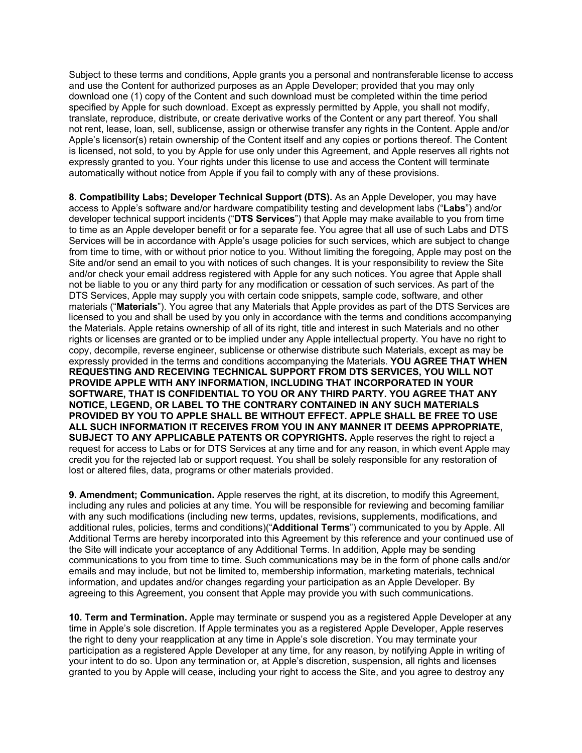Subject to these terms and conditions, Apple grants you a personal and nontransferable license to access and use the Content for authorized purposes as an Apple Developer; provided that you may only download one (1) copy of the Content and such download must be completed within the time period specified by Apple for such download. Except as expressly permitted by Apple, you shall not modify, translate, reproduce, distribute, or create derivative works of the Content or any part thereof. You shall not rent, lease, loan, sell, sublicense, assign or otherwise transfer any rights in the Content. Apple and/or Apple's licensor(s) retain ownership of the Content itself and any copies or portions thereof. The Content is licensed, not sold, to you by Apple for use only under this Agreement, and Apple reserves all rights not expressly granted to you. Your rights under this license to use and access the Content will terminate automatically without notice from Apple if you fail to comply with any of these provisions.

**8. Compatibility Labs; Developer Technical Support (DTS).** As an Apple Developer, you may have access to Apple's software and/or hardware compatibility testing and development labs ("**Labs**") and/or developer technical support incidents ("**DTS Services**") that Apple may make available to you from time to time as an Apple developer benefit or for a separate fee. You agree that all use of such Labs and DTS Services will be in accordance with Apple's usage policies for such services, which are subject to change from time to time, with or without prior notice to you. Without limiting the foregoing, Apple may post on the Site and/or send an email to you with notices of such changes. It is your responsibility to review the Site and/or check your email address registered with Apple for any such notices. You agree that Apple shall not be liable to you or any third party for any modification or cessation of such services. As part of the DTS Services, Apple may supply you with certain code snippets, sample code, software, and other materials ("**Materials**"). You agree that any Materials that Apple provides as part of the DTS Services are licensed to you and shall be used by you only in accordance with the terms and conditions accompanying the Materials. Apple retains ownership of all of its right, title and interest in such Materials and no other rights or licenses are granted or to be implied under any Apple intellectual property. You have no right to copy, decompile, reverse engineer, sublicense or otherwise distribute such Materials, except as may be expressly provided in the terms and conditions accompanying the Materials. **YOU AGREE THAT WHEN REQUESTING AND RECEIVING TECHNICAL SUPPORT FROM DTS SERVICES, YOU WILL NOT PROVIDE APPLE WITH ANY INFORMATION, INCLUDING THAT INCORPORATED IN YOUR SOFTWARE, THAT IS CONFIDENTIAL TO YOU OR ANY THIRD PARTY. YOU AGREE THAT ANY NOTICE, LEGEND, OR LABEL TO THE CONTRARY CONTAINED IN ANY SUCH MATERIALS PROVIDED BY YOU TO APPLE SHALL BE WITHOUT EFFECT. APPLE SHALL BE FREE TO USE ALL SUCH INFORMATION IT RECEIVES FROM YOU IN ANY MANNER IT DEEMS APPROPRIATE, SUBJECT TO ANY APPLICABLE PATENTS OR COPYRIGHTS.** Apple reserves the right to reject a request for access to Labs or for DTS Services at any time and for any reason, in which event Apple may credit you for the rejected lab or support request. You shall be solely responsible for any restoration of lost or altered files, data, programs or other materials provided.

**9. Amendment; Communication.** Apple reserves the right, at its discretion, to modify this Agreement, including any rules and policies at any time. You will be responsible for reviewing and becoming familiar with any such modifications (including new terms, updates, revisions, supplements, modifications, and additional rules, policies, terms and conditions)("**Additional Terms**") communicated to you by Apple. All Additional Terms are hereby incorporated into this Agreement by this reference and your continued use of the Site will indicate your acceptance of any Additional Terms. In addition, Apple may be sending communications to you from time to time. Such communications may be in the form of phone calls and/or emails and may include, but not be limited to, membership information, marketing materials, technical information, and updates and/or changes regarding your participation as an Apple Developer. By agreeing to this Agreement, you consent that Apple may provide you with such communications.

**10. Term and Termination.** Apple may terminate or suspend you as a registered Apple Developer at any time in Apple's sole discretion. If Apple terminates you as a registered Apple Developer, Apple reserves the right to deny your reapplication at any time in Apple's sole discretion. You may terminate your participation as a registered Apple Developer at any time, for any reason, by notifying Apple in writing of your intent to do so. Upon any termination or, at Apple's discretion, suspension, all rights and licenses granted to you by Apple will cease, including your right to access the Site, and you agree to destroy any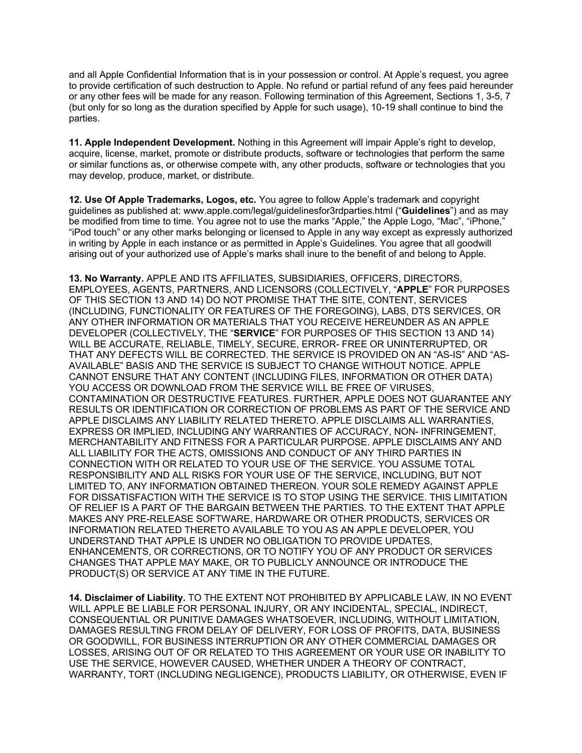and all Apple Confidential Information that is in your possession or control. At Apple's request, you agree to provide certification of such destruction to Apple. No refund or partial refund of any fees paid hereunder or any other fees will be made for any reason. Following termination of this Agreement, Sections 1, 3-5, 7 (but only for so long as the duration specified by Apple for such usage), 10-19 shall continue to bind the parties.

**11. Apple Independent Development.** Nothing in this Agreement will impair Apple's right to develop, acquire, license, market, promote or distribute products, software or technologies that perform the same or similar functions as, or otherwise compete with, any other products, software or technologies that you may develop, produce, market, or distribute.

**12. Use Of Apple Trademarks, Logos, etc.** You agree to follow Apple's trademark and copyright guidelines as published at: www.apple.com/legal/guidelinesfor3rdparties.html ("**Guidelines**") and as may be modified from time to time. You agree not to use the marks "Apple," the Apple Logo, "Mac", "iPhone," "iPod touch" or any other marks belonging or licensed to Apple in any way except as expressly authorized in writing by Apple in each instance or as permitted in Apple's Guidelines. You agree that all goodwill arising out of your authorized use of Apple's marks shall inure to the benefit of and belong to Apple.

**13. No Warranty.** APPLE AND ITS AFFILIATES, SUBSIDIARIES, OFFICERS, DIRECTORS, EMPLOYEES, AGENTS, PARTNERS, AND LICENSORS (COLLECTIVELY, "**APPLE**" FOR PURPOSES OF THIS SECTION 13 AND 14) DO NOT PROMISE THAT THE SITE, CONTENT, SERVICES (INCLUDING, FUNCTIONALITY OR FEATURES OF THE FOREGOING), LABS, DTS SERVICES, OR ANY OTHER INFORMATION OR MATERIALS THAT YOU RECEIVE HEREUNDER AS AN APPLE DEVELOPER (COLLECTIVELY, THE "**SERVICE**" FOR PURPOSES OF THIS SECTION 13 AND 14) WILL BE ACCURATE, RELIABLE, TIMELY, SECURE, ERROR- FREE OR UNINTERRUPTED, OR THAT ANY DEFECTS WILL BE CORRECTED. THE SERVICE IS PROVIDED ON AN "AS-IS" AND "AS-AVAILABLE" BASIS AND THE SERVICE IS SUBJECT TO CHANGE WITHOUT NOTICE. APPLE CANNOT ENSURE THAT ANY CONTENT (INCLUDING FILES, INFORMATION OR OTHER DATA) YOU ACCESS OR DOWNLOAD FROM THE SERVICE WILL BE FREE OF VIRUSES, CONTAMINATION OR DESTRUCTIVE FEATURES. FURTHER, APPLE DOES NOT GUARANTEE ANY RESULTS OR IDENTIFICATION OR CORRECTION OF PROBLEMS AS PART OF THE SERVICE AND APPLE DISCLAIMS ANY LIABILITY RELATED THERETO. APPLE DISCLAIMS ALL WARRANTIES, EXPRESS OR IMPLIED, INCLUDING ANY WARRANTIES OF ACCURACY, NON- INFRINGEMENT, MERCHANTABILITY AND FITNESS FOR A PARTICULAR PURPOSE. APPLE DISCLAIMS ANY AND ALL LIABILITY FOR THE ACTS, OMISSIONS AND CONDUCT OF ANY THIRD PARTIES IN CONNECTION WITH OR RELATED TO YOUR USE OF THE SERVICE. YOU ASSUME TOTAL RESPONSIBILITY AND ALL RISKS FOR YOUR USE OF THE SERVICE, INCLUDING, BUT NOT LIMITED TO, ANY INFORMATION OBTAINED THEREON. YOUR SOLE REMEDY AGAINST APPLE FOR DISSATISFACTION WITH THE SERVICE IS TO STOP USING THE SERVICE. THIS LIMITATION OF RELIEF IS A PART OF THE BARGAIN BETWEEN THE PARTIES. TO THE EXTENT THAT APPLE MAKES ANY PRE-RELEASE SOFTWARE, HARDWARE OR OTHER PRODUCTS, SERVICES OR INFORMATION RELATED THERETO AVAILABLE TO YOU AS AN APPLE DEVELOPER, YOU UNDERSTAND THAT APPLE IS UNDER NO OBLIGATION TO PROVIDE UPDATES, ENHANCEMENTS, OR CORRECTIONS, OR TO NOTIFY YOU OF ANY PRODUCT OR SERVICES CHANGES THAT APPLE MAY MAKE, OR TO PUBLICLY ANNOUNCE OR INTRODUCE THE PRODUCT(S) OR SERVICE AT ANY TIME IN THE FUTURE.

**14. Disclaimer of Liability.** TO THE EXTENT NOT PROHIBITED BY APPLICABLE LAW, IN NO EVENT WILL APPLE BE LIABLE FOR PERSONAL INJURY, OR ANY INCIDENTAL, SPECIAL, INDIRECT, CONSEQUENTIAL OR PUNITIVE DAMAGES WHATSOEVER, INCLUDING, WITHOUT LIMITATION, DAMAGES RESULTING FROM DELAY OF DELIVERY, FOR LOSS OF PROFITS, DATA, BUSINESS OR GOODWILL, FOR BUSINESS INTERRUPTION OR ANY OTHER COMMERCIAL DAMAGES OR LOSSES, ARISING OUT OF OR RELATED TO THIS AGREEMENT OR YOUR USE OR INABILITY TO USE THE SERVICE, HOWEVER CAUSED, WHETHER UNDER A THEORY OF CONTRACT, WARRANTY, TORT (INCLUDING NEGLIGENCE), PRODUCTS LIABILITY, OR OTHERWISE, EVEN IF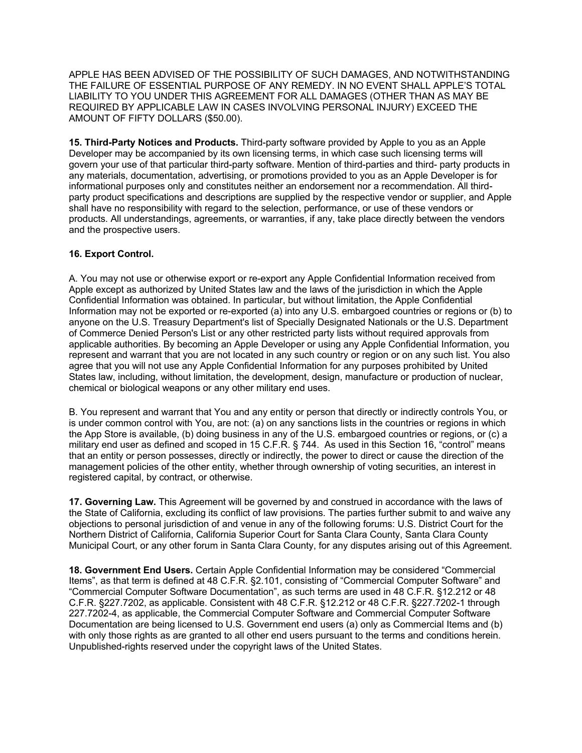APPLE HAS BEEN ADVISED OF THE POSSIBILITY OF SUCH DAMAGES, AND NOTWITHSTANDING THE FAILURE OF ESSENTIAL PURPOSE OF ANY REMEDY. IN NO EVENT SHALL APPLE'S TOTAL LIABILITY TO YOU UNDER THIS AGREEMENT FOR ALL DAMAGES (OTHER THAN AS MAY BE REQUIRED BY APPLICABLE LAW IN CASES INVOLVING PERSONAL INJURY) EXCEED THE AMOUNT OF FIFTY DOLLARS (\$50.00).

**15. Third-Party Notices and Products.** Third-party software provided by Apple to you as an Apple Developer may be accompanied by its own licensing terms, in which case such licensing terms will govern your use of that particular third-party software. Mention of third-parties and third- party products in any materials, documentation, advertising, or promotions provided to you as an Apple Developer is for informational purposes only and constitutes neither an endorsement nor a recommendation. All thirdparty product specifications and descriptions are supplied by the respective vendor or supplier, and Apple shall have no responsibility with regard to the selection, performance, or use of these vendors or products. All understandings, agreements, or warranties, if any, take place directly between the vendors and the prospective users.

## **16. Export Control.**

A. You may not use or otherwise export or re-export any Apple Confidential Information received from Apple except as authorized by United States law and the laws of the jurisdiction in which the Apple Confidential Information was obtained. In particular, but without limitation, the Apple Confidential Information may not be exported or re-exported (a) into any U.S. embargoed countries or regions or (b) to anyone on the U.S. Treasury Department's list of Specially Designated Nationals or the U.S. Department of Commerce Denied Person's List or any other restricted party lists without required approvals from applicable authorities. By becoming an Apple Developer or using any Apple Confidential Information, you represent and warrant that you are not located in any such country or region or on any such list. You also agree that you will not use any Apple Confidential Information for any purposes prohibited by United States law, including, without limitation, the development, design, manufacture or production of nuclear, chemical or biological weapons or any other military end uses.

B. You represent and warrant that You and any entity or person that directly or indirectly controls You, or is under common control with You, are not: (a) on any sanctions lists in the countries or regions in which the App Store is available, (b) doing business in any of the U.S. embargoed countries or regions, or (c) a military end user as defined and scoped in 15 C.F.R. § 744. As used in this Section 16, "control" means that an entity or person possesses, directly or indirectly, the power to direct or cause the direction of the management policies of the other entity, whether through ownership of voting securities, an interest in registered capital, by contract, or otherwise.

**17. Governing Law.** This Agreement will be governed by and construed in accordance with the laws of the State of California, excluding its conflict of law provisions. The parties further submit to and waive any objections to personal jurisdiction of and venue in any of the following forums: U.S. District Court for the Northern District of California, California Superior Court for Santa Clara County, Santa Clara County Municipal Court, or any other forum in Santa Clara County, for any disputes arising out of this Agreement.

**18. Government End Users.** Certain Apple Confidential Information may be considered "Commercial Items", as that term is defined at 48 C.F.R. §2.101, consisting of "Commercial Computer Software" and "Commercial Computer Software Documentation", as such terms are used in 48 C.F.R. §12.212 or 48 C.F.R. §227.7202, as applicable. Consistent with 48 C.F.R. §12.212 or 48 C.F.R. §227.7202-1 through 227.7202-4, as applicable, the Commercial Computer Software and Commercial Computer Software Documentation are being licensed to U.S. Government end users (a) only as Commercial Items and (b) with only those rights as are granted to all other end users pursuant to the terms and conditions herein. Unpublished-rights reserved under the copyright laws of the United States.